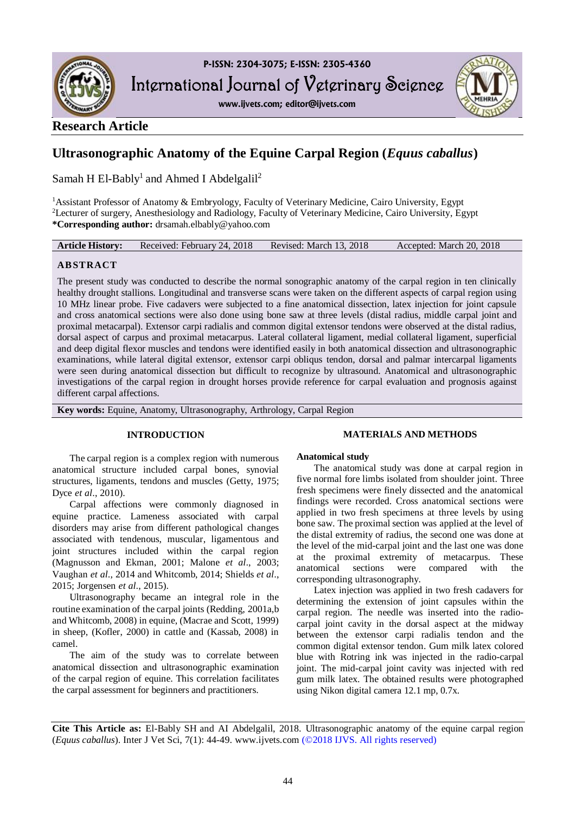

International Journal of Veterinary Science

**www.ijvets.com; editor@ijvets.com**



## **Research Article**

# **Ultrasonographic Anatomy of the Equine Carpal Region (***Equus caballus***)**

Samah H El-Bably<sup>1</sup> and Ahmed I Abdelgalil<sup>2</sup>

<sup>1</sup>Assistant Professor of Anatomy & Embryology, Faculty of Veterinary Medicine, Cairo University, Egypt <sup>2</sup>Lecturer of surgery, Anesthesiology and Radiology, Faculty of Veterinary Medicine, Cairo University, Egypt **\*Corresponding author:** drsamah.elbably@yahoo.com

| <b>Article History:</b> | Received: February 24, 2018 | Revised: March 13, 2018 | Accepted: March 20, 2018 |
|-------------------------|-----------------------------|-------------------------|--------------------------|
|-------------------------|-----------------------------|-------------------------|--------------------------|

## **ABSTRACT**

The present study was conducted to describe the normal sonographic anatomy of the carpal region in ten clinically healthy drought stallions. Longitudinal and transverse scans were taken on the different aspects of carpal region using 10 MHz linear probe. Five cadavers were subjected to a fine anatomical dissection, latex injection for joint capsule and cross anatomical sections were also done using bone saw at three levels (distal radius, middle carpal joint and proximal metacarpal). Extensor carpi radialis and common digital extensor tendons were observed at the distal radius, dorsal aspect of carpus and proximal metacarpus. Lateral collateral ligament, medial collateral ligament, superficial and deep digital flexor muscles and tendons were identified easily in both anatomical dissection and ultrasonographic examinations, while lateral digital extensor, extensor carpi obliqus tendon, dorsal and palmar intercarpal ligaments were seen during anatomical dissection but difficult to recognize by ultrasound. Anatomical and ultrasonographic investigations of the carpal region in drought horses provide reference for carpal evaluation and prognosis against different carpal affections.

**Key words:** Equine, Anatomy, Ultrasonography, Arthrology, Carpal Region

## **INTRODUCTION**

The carpal region is a complex region with numerous anatomical structure included carpal bones, synovial structures, ligaments, tendons and muscles (Getty, 1975; Dyce *et al*., 2010).

Carpal affections were commonly diagnosed in equine practice. Lameness associated with carpal disorders may arise from different pathological changes associated with tendenous, muscular, ligamentous and joint structures included within the carpal region (Magnusson and Ekman, 2001; Malone *et al*., 2003; Vaughan *et al*., 2014 and Whitcomb, 2014; Shields *et al*., 2015; Jorgensen *et al*., 2015).

Ultrasonography became an integral role in the routine examination of the carpal joints (Redding, 2001a,b and Whitcomb, 2008) in equine, (Macrae and Scott, 1999) in sheep, (Kofler, 2000) in cattle and (Kassab, 2008) in camel.

The aim of the study was to correlate between anatomical dissection and ultrasonographic examination of the carpal region of equine. This correlation facilitates the carpal assessment for beginners and practitioners.

## **MATERIALS AND METHODS**

## **Anatomical study**

The anatomical study was done at carpal region in five normal fore limbs isolated from shoulder joint. Three fresh specimens were finely dissected and the anatomical findings were recorded. Cross anatomical sections were applied in two fresh specimens at three levels by using bone saw. The proximal section was applied at the level of the distal extremity of radius, the second one was done at the level of the mid-carpal joint and the last one was done at the proximal extremity of metacarpus. These anatomical sections were compared with the corresponding ultrasonography.

Latex injection was applied in two fresh cadavers for determining the extension of joint capsules within the carpal region. The needle was inserted into the radiocarpal joint cavity in the dorsal aspect at the midway between the extensor carpi radialis tendon and the common digital extensor tendon. Gum milk latex colored blue with Rotring ink was injected in the radio-carpal joint. The mid-carpal joint cavity was injected with red gum milk latex. The obtained results were photographed using Nikon digital camera 12.1 mp, 0.7x.

**Cite This Article as:** El-Bably SH and AI Abdelgalil, 2018. Ultrasonographic anatomy of the equine carpal region (*Equus caballus*). Inter J Vet Sci, 7(1): 44-49. www.ijvets.com (©2018 IJVS. All rights reserved)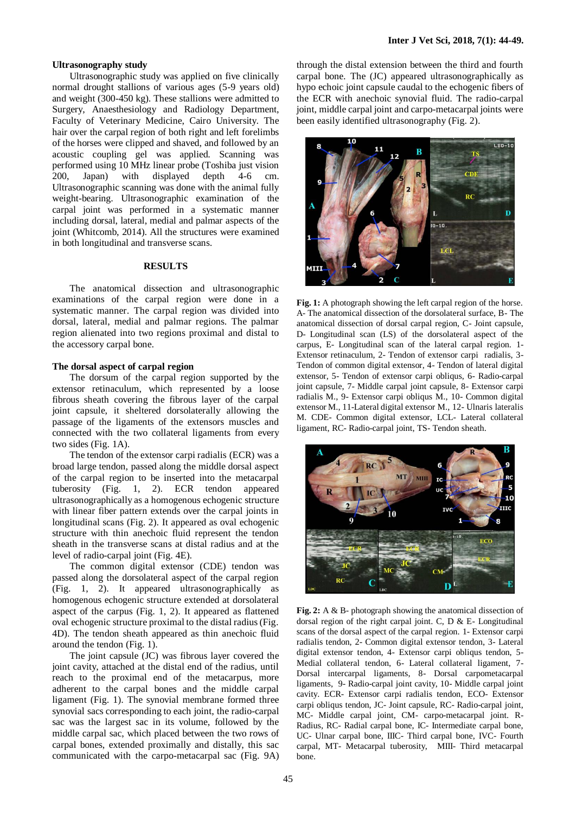#### **Ultrasonography study**

Ultrasonographic study was applied on five clinically normal drought stallions of various ages (5-9 years old) and weight (300-450 kg). These stallions were admitted to Surgery, Anaesthesiology and Radiology Department, Faculty of Veterinary Medicine, Cairo University. The hair over the carpal region of both right and left forelimbs of the horses were clipped and shaved, and followed by an acoustic coupling gel was applied. Scanning was performed using 10 MHz linear probe (Toshiba just vision 200, Japan) with displayed depth 4-6 cm. Ultrasonographic scanning was done with the animal fully weight-bearing. Ultrasonographic examination of the carpal joint was performed in a systematic manner including dorsal, lateral, medial and palmar aspects of the joint (Whitcomb, 2014). All the structures were examined in both longitudinal and transverse scans.

#### **RESULTS**

The anatomical dissection and ultrasonographic examinations of the carpal region were done in a systematic manner. The carpal region was divided into dorsal, lateral, medial and palmar regions. The palmar region alienated into two regions proximal and distal to the accessory carpal bone.

## **The dorsal aspect of carpal region**

The dorsum of the carpal region supported by the extensor retinaculum, which represented by a loose fibrous sheath covering the fibrous layer of the carpal joint capsule, it sheltered dorsolaterally allowing the passage of the ligaments of the extensors muscles and connected with the two collateral ligaments from every two sides (Fig. 1A).

The tendon of the extensor carpi radialis (ECR) was a broad large tendon, passed along the middle dorsal aspect of the carpal region to be inserted into the metacarpal tuberosity (Fig. 1, 2). ECR tendon appeared ultrasonographically as a homogenous echogenic structure with linear fiber pattern extends over the carpal joints in longitudinal scans (Fig. 2). It appeared as oval echogenic structure with thin anechoic fluid represent the tendon sheath in the transverse scans at distal radius and at the level of radio-carpal joint (Fig. 4E).

The common digital extensor (CDE) tendon was passed along the dorsolateral aspect of the carpal region (Fig. 1, 2). It appeared ultrasonographically as homogenous echogenic structure extended at dorsolateral aspect of the carpus (Fig. 1, 2). It appeared as flattened oval echogenic structure proximal to the distal radius (Fig. 4D). The tendon sheath appeared as thin anechoic fluid around the tendon (Fig. 1).

The joint capsule (JC) was fibrous layer covered the joint cavity, attached at the distal end of the radius, until reach to the proximal end of the metacarpus, more adherent to the carpal bones and the middle carpal ligament (Fig. 1). The synovial membrane formed three synovial sacs corresponding to each joint, the radio-carpal sac was the largest sac in its volume, followed by the middle carpal sac, which placed between the two rows of carpal bones, extended proximally and distally, this sac communicated with the carpo-metacarpal sac (Fig. 9A)

through the distal extension between the third and fourth carpal bone. The (JC) appeared ultrasonographically as hypo echoic joint capsule caudal to the echogenic fibers of the ECR with anechoic synovial fluid. The radio-carpal joint, middle carpal joint and carpo-metacarpal joints were been easily identified ultrasonography (Fig. 2).



**Fig. 1:** A photograph showing the left carpal region of the horse. A- The anatomical dissection of the dorsolateral surface, B- The anatomical dissection of dorsal carpal region, C- Joint capsule, D- Longitudinal scan (LS) of the dorsolateral aspect of the carpus, E- Longitudinal scan of the lateral carpal region. 1- Extensor retinaculum, 2- Tendon of extensor carpi radialis, 3- Tendon of common digital extensor, 4- Tendon of lateral digital extensor, 5- Tendon of extensor carpi obliqus, 6- Radio-carpal joint capsule, 7- Middle carpal joint capsule, 8- Extensor carpi radialis M., 9- Extensor carpi obliqus M., 10- Common digital extensor M., 11-Lateral digital extensor M., 12- Ulnaris lateralis M. CDE- Common digital extensor, LCL- Lateral collateral ligament, RC- Radio-carpal joint, TS- Tendon sheath.



**Fig. 2:** A & B- photograph showing the anatomical dissection of dorsal region of the right carpal joint. C, D & E- Longitudinal scans of the dorsal aspect of the carpal region. 1- Extensor carpi radialis tendon, 2- Common digital extensor tendon, 3- Lateral digital extensor tendon, 4- Extensor carpi obliqus tendon, 5- Medial collateral tendon, 6- Lateral collateral ligament, 7- Dorsal intercarpal ligaments, 8- Dorsal carpometacarpal ligaments, 9- Radio-carpal joint cavity, 10- Middle carpal joint cavity. ECR- Extensor carpi radialis tendon, ECO- Extensor carpi obliqus tendon, JC- Joint capsule, RC- Radio-carpal joint, MC- Middle carpal joint, CM- carpo-metacarpal joint. R-Radius, RC- Radial carpal bone, IC- Intermediate carpal bone, UC- Ulnar carpal bone, IIIC- Third carpal bone, IVC- Fourth carpal, MT- Metacarpal tuberosity, MIII- Third metacarpal bone.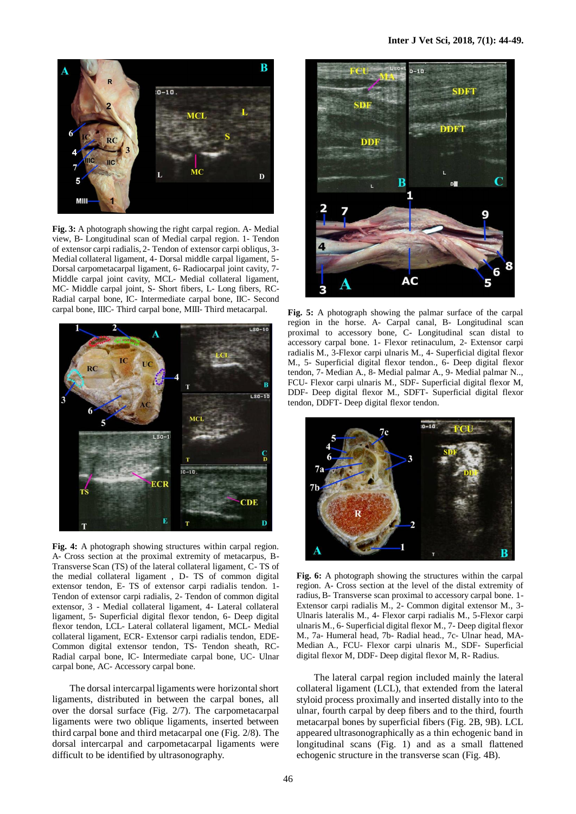

**Fig. 3:** A photograph showing the right carpal region. A- Medial view, B- Longitudinal scan of Medial carpal region. 1- Tendon of extensor carpi radialis, 2- Tendon of extensor carpi obliqus, 3- Medial collateral ligament, 4- Dorsal middle carpal ligament, 5- Dorsal carpometacarpal ligament, 6- Radiocarpal joint cavity, 7- Middle carpal joint cavity, MCL- Medial collateral ligament, MC- Middle carpal joint, S- Short fibers, L- Long fibers, RC-Radial carpal bone, IC- Intermediate carpal bone, IIC- Second carpal bone, IIIC- Third carpal bone, MIII- Third metacarpal.



**Fig. 4:** A photograph showing structures within carpal region. A- Cross section at the proximal extremity of metacarpus, B-Transverse Scan (TS) of the lateral collateral ligament, C- TS of the medial collateral ligament , D- TS of common digital extensor tendon, E- TS of extensor carpi radialis tendon. 1- Tendon of extensor carpi radialis, 2- Tendon of common digital extensor, 3 - Medial collateral ligament, 4- Lateral collateral ligament, 5- Superficial digital flexor tendon, 6- Deep digital flexor tendon, LCL- Lateral collateral ligament, MCL- Medial collateral ligament, ECR- Extensor carpi radialis tendon, EDE-Common digital extensor tendon, TS- Tendon sheath, RC-Radial carpal bone, IC- Intermediate carpal bone, UC- Ulnar carpal bone, AC- Accessory carpal bone.

The dorsal intercarpal ligaments were horizontal short ligaments, distributed in between the carpal bones, all over the dorsal surface (Fig. 2/7). The carpometacarpal ligaments were two oblique ligaments, inserted between third carpal bone and third metacarpal one (Fig. 2/8). The dorsal intercarpal and carpometacarpal ligaments were difficult to be identified by ultrasonography.



**Fig. 5:** A photograph showing the palmar surface of the carpal region in the horse. A- Carpal canal, B- Longitudinal scan proximal to accessory bone, C- Longitudinal scan distal to accessory carpal bone. 1- Flexor retinaculum, 2- Extensor carpi radialis M., 3-Flexor carpi ulnaris M., 4- Superficial digital flexor M., 5- Superficial digital flexor tendon., 6- Deep digital flexor tendon, 7- Median A., 8- Medial palmar A., 9- Medial palmar N.., FCU- Flexor carpi ulnaris M., SDF- Superficial digital flexor M, DDF- Deep digital flexor M., SDFT- Superficial digital flexor tendon, DDFT- Deep digital flexor tendon.



**Fig. 6:** A photograph showing the structures within the carpal region. A- Cross section at the level of the distal extremity of radius, B- Transverse scan proximal to accessory carpal bone. 1- Extensor carpi radialis M., 2- Common digital extensor M., 3- Ulnaris lateralis M., 4- Flexor carpi radialis M., 5-Flexor carpi ulnaris M., 6- Superficial digital flexor M., 7- Deep digital flexor M., 7a- Humeral head, 7b- Radial head., 7c- Ulnar head, MA-Median A., FCU- Flexor carpi ulnaris M., SDF- Superficial digital flexor M, DDF- Deep digital flexor M, R- Radius.

The lateral carpal region included mainly the lateral collateral ligament (LCL), that extended from the lateral styloid process proximally and inserted distally into to the ulnar, fourth carpal by deep fibers and to the third, fourth metacarpal bones by superficial fibers (Fig. 2B, 9B). LCL appeared ultrasonographically as a thin echogenic band in longitudinal scans (Fig. 1) and as a small flattened echogenic structure in the transverse scan (Fig. 4B).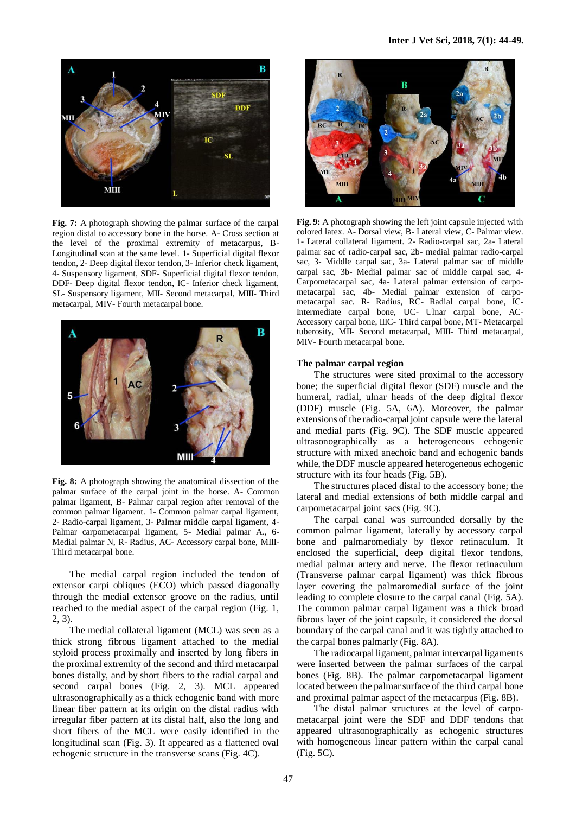

**Fig. 7:** A photograph showing the palmar surface of the carpal region distal to accessory bone in the horse. A- Cross section at the level of the proximal extremity of metacarpus, B-Longitudinal scan at the same level. 1- Superficial digital flexor tendon, 2- Deep digital flexor tendon, 3- Inferior check ligament, 4- Suspensory ligament, SDF- Superficial digital flexor tendon, DDF- Deep digital flexor tendon, IC- Inferior check ligament, SL- Suspensory ligament, MII- Second metacarpal, MIII- Third metacarpal, MIV- Fourth metacarpal bone.



**Fig. 8:** A photograph showing the anatomical dissection of the palmar surface of the carpal joint in the horse. A- Common palmar ligament, B- Palmar carpal region after removal of the common palmar ligament. 1- Common palmar carpal ligament, 2- Radio-carpal ligament, 3- Palmar middle carpal ligament, 4- Palmar carpometacarpal ligament, 5- Medial palmar A., 6- Medial palmar N, R- Radius, AC- Accessory carpal bone, MIII-Third metacarpal bone.

The medial carpal region included the tendon of extensor carpi obliques (ECO) which passed diagonally through the medial extensor groove on the radius, until reached to the medial aspect of the carpal region (Fig. 1, 2, 3).

The medial collateral ligament (MCL) was seen as a thick strong fibrous ligament attached to the medial styloid process proximally and inserted by long fibers in the proximal extremity of the second and third metacarpal bones distally, and by short fibers to the radial carpal and second carpal bones (Fig. 2, 3). MCL appeared ultrasonographically as a thick echogenic band with more linear fiber pattern at its origin on the distal radius with irregular fiber pattern at its distal half, also the long and short fibers of the MCL were easily identified in the longitudinal scan (Fig. 3). It appeared as a flattened oval echogenic structure in the transverse scans (Fig. 4C).



**Fig. 9:** A photograph showing the left joint capsule injected with colored latex. A- Dorsal view, B- Lateral view, C- Palmar view. 1- Lateral collateral ligament. 2- Radio-carpal sac, 2a- Lateral palmar sac of radio-carpal sac, 2b- medial palmar radio-carpal sac, 3- Middle carpal sac, 3a- Lateral palmar sac of middle carpal sac, 3b- Medial palmar sac of middle carpal sac, 4- Carpometacarpal sac, 4a- Lateral palmar extension of carpometacarpal sac, 4b- Medial palmar extension of carpometacarpal sac. R- Radius, RC- Radial carpal bone, IC-Intermediate carpal bone, UC- Ulnar carpal bone, AC-Accessory carpal bone, IIIC- Third carpal bone, MT- Metacarpal tuberosity, MII- Second metacarpal, MIII- Third metacarpal, MIV- Fourth metacarpal bone.

## **The palmar carpal region**

The structures were sited proximal to the accessory bone; the superficial digital flexor (SDF) muscle and the humeral, radial, ulnar heads of the deep digital flexor (DDF) muscle (Fig. 5A, 6A). Moreover, the palmar extensions of the radio-carpal joint capsule were the lateral and medial parts (Fig. 9C). The SDF muscle appeared ultrasonographically as a heterogeneous echogenic structure with mixed anechoic band and echogenic bands while, the DDF muscle appeared heterogeneous echogenic structure with its four heads (Fig. 5B).

The structures placed distal to the accessory bone; the lateral and medial extensions of both middle carpal and carpometacarpal joint sacs (Fig. 9C).

The carpal canal was surrounded dorsally by the common palmar ligament, laterally by accessory carpal bone and palmaromedialy by flexor retinaculum. It enclosed the superficial, deep digital flexor tendons, medial palmar artery and nerve. The flexor retinaculum (Transverse palmar carpal ligament) was thick fibrous layer covering the palmaromedial surface of the joint leading to complete closure to the carpal canal (Fig. 5A). The common palmar carpal ligament was a thick broad fibrous layer of the joint capsule, it considered the dorsal boundary of the carpal canal and it was tightly attached to the carpal bones palmarly (Fig. 8A).

The radiocarpal ligament, palmar intercarpal ligaments were inserted between the palmar surfaces of the carpal bones (Fig. 8B). The palmar carpometacarpal ligament located between the palmar surface of the third carpal bone and proximal palmar aspect of the metacarpus (Fig. 8B).

The distal palmar structures at the level of carpometacarpal joint were the SDF and DDF tendons that appeared ultrasonographically as echogenic structures with homogeneous linear pattern within the carpal canal (Fig. 5C).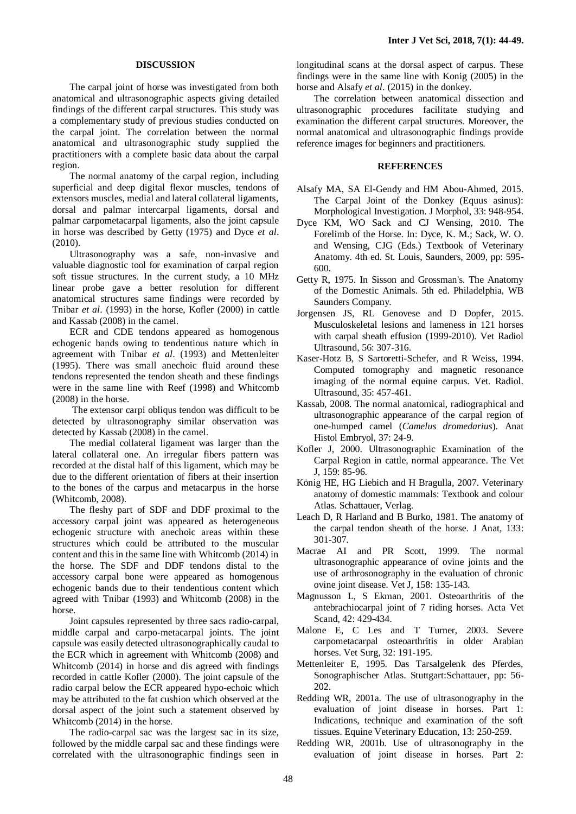#### **DISCUSSION**

The carpal joint of horse was investigated from both anatomical and ultrasonographic aspects giving detailed findings of the different carpal structures. This study was a complementary study of previous studies conducted on the carpal joint. The correlation between the normal anatomical and ultrasonographic study supplied the practitioners with a complete basic data about the carpal region.

The normal anatomy of the carpal region, including superficial and deep digital flexor muscles, tendons of extensors muscles, medial and lateral collateral ligaments, dorsal and palmar intercarpal ligaments, dorsal and palmar carpometacarpal ligaments, also the joint capsule in horse was described by Getty (1975) and Dyce *et al*. (2010).

Ultrasonography was a safe, non-invasive and valuable diagnostic tool for examination of carpal region soft tissue structures. In the current study, a 10 MHz linear probe gave a better resolution for different anatomical structures same findings were recorded by Tnibar *et al*. (1993) in the horse, Kofler (2000) in cattle and Kassab (2008) in the camel.

ECR and CDE tendons appeared as homogenous echogenic bands owing to tendentious nature which in agreement with Tnibar *et al*. (1993) and Mettenleiter (1995). There was small anechoic fluid around these tendons represented the tendon sheath and these findings were in the same line with Reef (1998) and Whitcomb (2008) in the horse.

The extensor carpi obliqus tendon was difficult to be detected by ultrasonography similar observation was detected by Kassab (2008) in the camel.

The medial collateral ligament was larger than the lateral collateral one. An irregular fibers pattern was recorded at the distal half of this ligament, which may be due to the different orientation of fibers at their insertion to the bones of the carpus and metacarpus in the horse (Whitcomb, 2008).

The fleshy part of SDF and DDF proximal to the accessory carpal joint was appeared as heterogeneous echogenic structure with anechoic areas within these structures which could be attributed to the muscular content and this in the same line with Whitcomb (2014) in the horse. The SDF and DDF tendons distal to the accessory carpal bone were appeared as homogenous echogenic bands due to their tendentious content which agreed with Tnibar (1993) and Whitcomb (2008) in the horse.

Joint capsules represented by three sacs radio-carpal, middle carpal and carpo-metacarpal joints. The joint capsule was easily detected ultrasonographically caudal to the ECR which in agreement with Whitcomb (2008) and Whitcomb (2014) in horse and dis agreed with findings recorded in cattle Kofler (2000). The joint capsule of the radio carpal below the ECR appeared hypo-echoic which may be attributed to the fat cushion which observed at the dorsal aspect of the joint such a statement observed by Whitcomb (2014) in the horse.

The radio-carpal sac was the largest sac in its size, followed by the middle carpal sac and these findings were correlated with the ultrasonographic findings seen in

longitudinal scans at the dorsal aspect of carpus. These findings were in the same line with Konig (2005) in the horse and Alsafy *et al*. (2015) in the donkey.

The correlation between anatomical dissection and ultrasonographic procedures facilitate studying and examination the different carpal structures. Moreover, the normal anatomical and ultrasonographic findings provide reference images for beginners and practitioners.

## **REFERENCES**

- Alsafy MA, SA El-Gendy and HM Abou-Ahmed, 2015. The Carpal Joint of the Donkey (Equus asinus): Morphological Investigation. J Morphol, 33: 948-954.
- Dyce KM, WO Sack and CJ Wensing, 2010. The Forelimb of the Horse. In: Dyce, K. M.; Sack, W. O. and Wensing, CJG (Eds.) Textbook of Veterinary Anatomy. 4th ed. St. Louis, Saunders, 2009, pp: 595- 600.
- Getty R, 1975. In Sisson and Grossman's. The Anatomy of the Domestic Animals. 5th ed. Philadelphia, WB Saunders Company.
- Jorgensen JS, RL Genovese and D Dopfer, 2015. Musculoskeletal lesions and lameness in 121 horses with carpal sheath effusion (1999-2010). Vet Radiol Ultrasound, 56: 307-316.
- Kaser-Hotz B, S Sartoretti-Schefer, and R Weiss, 1994. Computed tomography and magnetic resonance imaging of the normal equine carpus. Vet. Radiol. Ultrasound, 35: 457-461.
- Kassab, 2008. The normal anatomical, radiographical and ultrasonographic appearance of the carpal region of one-humped camel (*Camelus dromedarius*). Anat Histol Embryol, 37: 24-9.
- Kofler J, 2000. Ultrasonographic Examination of the Carpal Region in cattle, normal appearance. The Vet J, 159: 85-96.
- König HE, HG Liebich and H Bragulla, 2007. Veterinary anatomy of domestic mammals: Textbook and colour Atlas. Schattauer, Verlag.
- Leach D, R Harland and B Burko, 1981. The anatomy of the carpal tendon sheath of the horse. J Anat, 133: 301-307.
- Macrae AI and PR Scott, 1999. The normal ultrasonographic appearance of ovine joints and the use of arthrosonography in the evaluation of chronic ovine joint disease. Vet J, 158: 135-143.
- Magnusson L, S Ekman, 2001. Osteoarthritis of the antebrachiocarpal joint of 7 riding horses. Acta Vet Scand, 42: 429-434.
- Malone E, C Les and T Turner, 2003. Severe carpometacarpal osteoarthritis in older Arabian horses. Vet Surg, 32: 191-195.
- Mettenleiter E, 1995. Das Tarsalgelenk des Pferdes, Sonographischer Atlas. Stuttgart:Schattauer, pp: 56- 202.
- Redding WR, 2001a. The use of ultrasonography in the evaluation of joint disease in horses. Part 1: Indications, technique and examination of the soft tissues. Equine Veterinary Education, 13: 250-259.
- Redding WR, 2001b. Use of ultrasonography in the evaluation of joint disease in horses. Part 2: